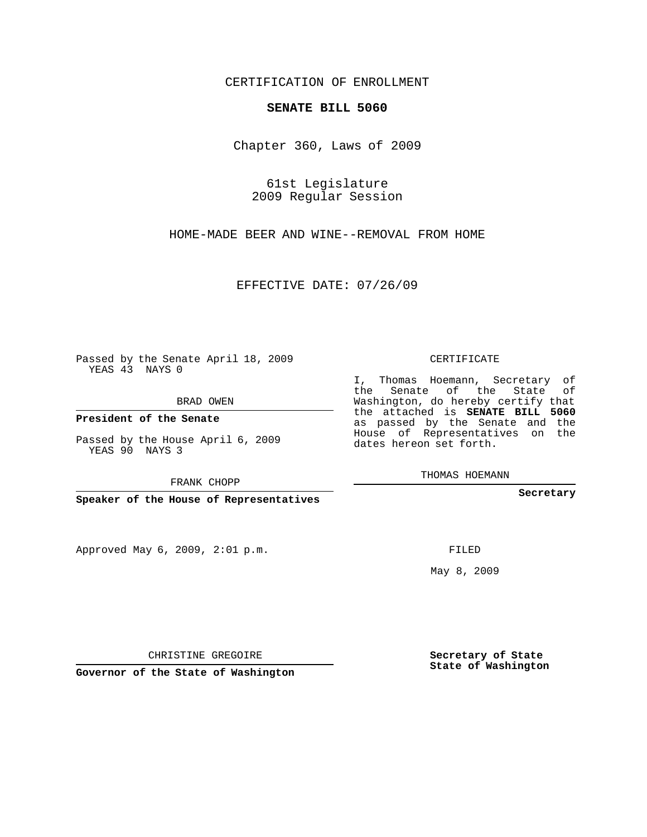## CERTIFICATION OF ENROLLMENT

#### **SENATE BILL 5060**

Chapter 360, Laws of 2009

61st Legislature 2009 Regular Session

HOME-MADE BEER AND WINE--REMOVAL FROM HOME

EFFECTIVE DATE: 07/26/09

Passed by the Senate April 18, 2009 YEAS 43 NAYS 0

BRAD OWEN

**President of the Senate**

Passed by the House April 6, 2009 YEAS 90 NAYS 3

FRANK CHOPP

Approved May 6, 2009, 2:01 p.m.

CERTIFICATE

I, Thomas Hoemann, Secretary of the Senate of the State of Washington, do hereby certify that the attached is **SENATE BILL 5060** as passed by the Senate and the House of Representatives on the dates hereon set forth.

THOMAS HOEMANN

**Secretary**

FILED

May 8, 2009

**Secretary of State State of Washington**

CHRISTINE GREGOIRE

**Governor of the State of Washington**

**Speaker of the House of Representatives**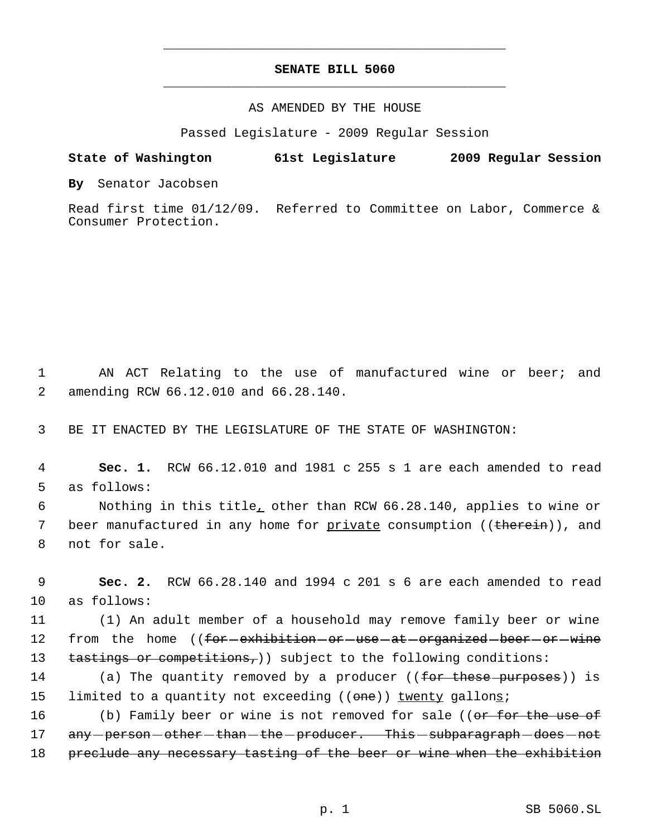# **SENATE BILL 5060** \_\_\_\_\_\_\_\_\_\_\_\_\_\_\_\_\_\_\_\_\_\_\_\_\_\_\_\_\_\_\_\_\_\_\_\_\_\_\_\_\_\_\_\_\_

\_\_\_\_\_\_\_\_\_\_\_\_\_\_\_\_\_\_\_\_\_\_\_\_\_\_\_\_\_\_\_\_\_\_\_\_\_\_\_\_\_\_\_\_\_

### AS AMENDED BY THE HOUSE

Passed Legislature - 2009 Regular Session

## **State of Washington 61st Legislature 2009 Regular Session**

**By** Senator Jacobsen

Read first time 01/12/09. Referred to Committee on Labor, Commerce & Consumer Protection.

 1 AN ACT Relating to the use of manufactured wine or beer; and 2 amending RCW 66.12.010 and 66.28.140.

3 BE IT ENACTED BY THE LEGISLATURE OF THE STATE OF WASHINGTON:

 4 **Sec. 1.** RCW 66.12.010 and 1981 c 255 s 1 are each amended to read 5 as follows:

 6 Nothing in this title, other than RCW 66.28.140, applies to wine or 7 beer manufactured in any home for private consumption ((therein)), and 8 not for sale.

 9 **Sec. 2.** RCW 66.28.140 and 1994 c 201 s 6 are each amended to read 10 as follows:

11 (1) An adult member of a household may remove family beer or wine 12 from the home ((<del>for exhibition or use at organized beer or wine</del> 13 tastings or competitions,) subject to the following conditions:

14 (a) The quantity removed by a producer ((<del>for these purposes</del>)) is 15 limited to a quantity not exceeding ((one)) twenty gallons;

16 (b) Family beer or wine is not removed for sale ((or for the use of 17 any person - other - than - the - producer. This - subparagraph - does - not 18 preclude any necessary tasting of the beer or wine when the exhibition